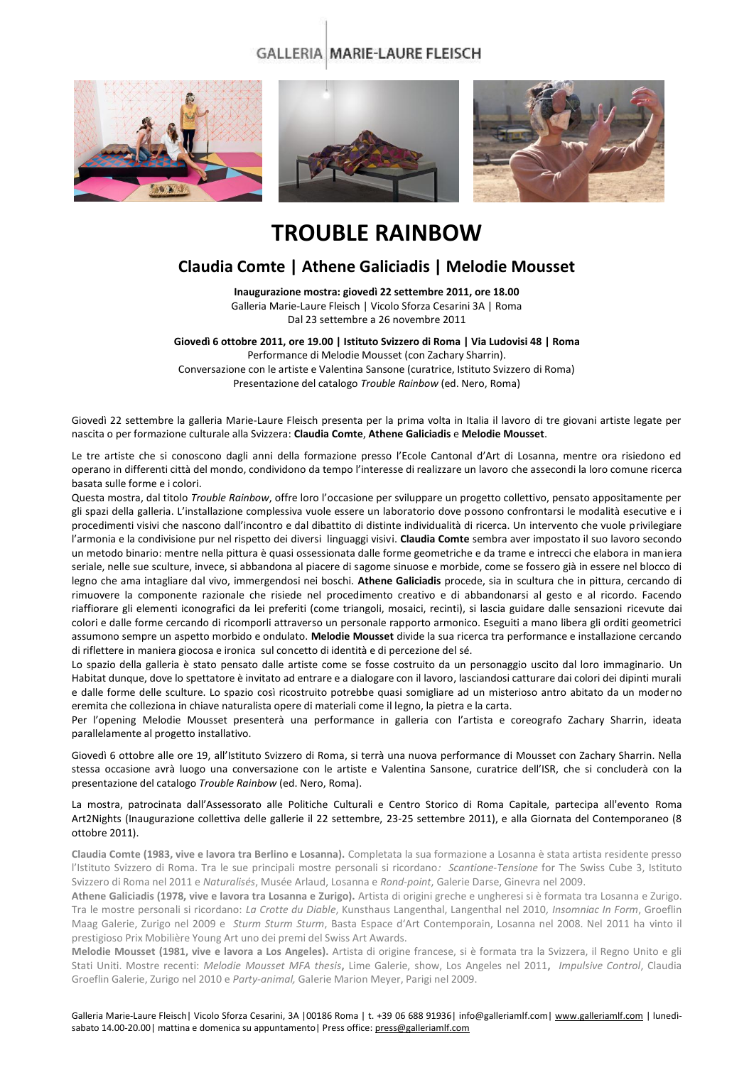### **GALLERIA MARIE-LAURE FLEISCH**



# **TROUBLE RAINBOW**

## **Claudia Comte | Athene Galiciadis | Melodie Mousset**

**Inaugurazione mostra: giovedì 22 settembre 2011, ore 18.00** Galleria Marie-Laure Fleisch | Vicolo Sforza Cesarini 3A | Roma

Dal 23 settembre a 26 novembre 2011

**Giovedì 6 ottobre 2011, ore 19.00 | Istituto Svizzero di Roma | Via Ludovisi 48 | Roma**

Performance di Melodie Mousset (con Zachary Sharrin). Conversazione con le artiste e Valentina Sansone (curatrice, Istituto Svizzero di Roma) Presentazione del catalogo *Trouble Rainbow* (ed. Nero, Roma)

Giovedì 22 settembre la galleria Marie-Laure Fleisch presenta per la prima volta in Italia il lavoro di tre giovani artiste legate per nascita o per formazione culturale alla Svizzera: **Claudia Comte**, **Athene Galiciadis** e **Melodie Mousset**.

Le tre artiste che si conoscono dagli anni della formazione presso l'Ecole Cantonal d'Art di Losanna, mentre ora risiedono ed operano in differenti città del mondo, condividono da tempo l'interesse di realizzare un lavoro che assecondi la loro comune ricerca basata sulle forme e i colori.

Questa mostra, dal titolo *Trouble Rainbow*, offre loro l'occasione per sviluppare un progetto collettivo, pensato appositamente per gli spazi della galleria. L'installazione complessiva vuole essere un laboratorio dove possono confrontarsi le modalità esecutive e i procedimenti visivi che nascono dall'incontro e dal dibattito di distinte individualità di ricerca. Un intervento che vuole privilegiare l'armonia e la condivisione pur nel rispetto dei diversi linguaggi visivi. **Claudia Comte** sembra aver impostato il suo lavoro secondo un metodo binario: mentre nella pittura è quasi ossessionata dalle forme geometriche e da trame e intrecci che elabora in maniera seriale, nelle sue sculture, invece, si abbandona al piacere di sagome sinuose e morbide, come se fossero già in essere nel blocco di legno che ama intagliare dal vivo, immergendosi nei boschi. **Athene Galiciadis** procede, sia in scultura che in pittura, cercando di rimuovere la componente razionale che risiede nel procedimento creativo e di abbandonarsi al gesto e al ricordo. Facendo riaffiorare gli elementi iconografici da lei preferiti (come triangoli, mosaici, recinti), si lascia guidare dalle sensazioni ricevute dai colori e dalle forme cercando di ricomporli attraverso un personale rapporto armonico. Eseguiti a mano libera gli orditi geometrici assumono sempre un aspetto morbido e ondulato. **Melodie Mousset** divide la sua ricerca tra performance e installazione cercando di riflettere in maniera giocosa e ironica sul concetto di identità e di percezione del sé.

Lo spazio della galleria è stato pensato dalle artiste come se fosse costruito da un personaggio uscito dal loro immaginario. Un Habitat dunque, dove lo spettatore è invitato ad entrare e a dialogare con il lavoro, lasciandosi catturare dai colori dei dipinti murali e dalle forme delle sculture. Lo spazio così ricostruito potrebbe quasi somigliare ad un misterioso antro abitato da un moderno eremita che colleziona in chiave naturalista opere di materiali come il legno, la pietra e la carta.

Per l'opening Melodie Mousset presenterà una performance in galleria con l'artista e coreografo Zachary Sharrin, ideata parallelamente al progetto installativo.

Giovedì 6 ottobre alle ore 19, all'Istituto Svizzero di Roma, si terrà una nuova performance di Mousset con Zachary Sharrin. Nella stessa occasione avrà luogo una conversazione con le artiste e Valentina Sansone, curatrice dell'ISR, che si concluderà con la presentazione del catalogo *Trouble Rainbow* (ed. Nero, Roma).

#### La mostra, patrocinata dall'Assessorato alle Politiche Culturali e Centro Storico di Roma Capitale, partecipa all'evento Roma Art2Nights (Inaugurazione collettiva delle gallerie il 22 settembre, 23-25 settembre 2011), e alla Giornata del Contemporaneo (8 ottobre 2011).

**Claudia Comte (1983, vive e lavora tra Berlino e Losanna).** Completata la sua formazione a Losanna è stata artista residente presso l'Istituto Svizzero di Roma. Tra le sue principali mostre personali si ricordano*: Scantione-Tensione* for The Swiss Cube 3, Istituto Svizzero di Roma nel 2011 e *Naturalisés*, Musée Arlaud, Losanna e *Rond-point*, Galerie Darse, Ginevra nel 2009.

**Athene Galiciadis (1978, vive e lavora tra Losanna e Zurigo).** Artista di origini greche e ungheresi si è formata tra Losanna e Zurigo. Tra le mostre personali si ricordano: *La Crotte du Diable*, Kunsthaus Langenthal, Langenthal nel 2010*, Insomniac In Form*, Groeflin Maag Galerie, Zurigo nel 2009 e *Sturm Sturm Sturm*, Basta Espace d'Art Contemporain, Losanna nel 2008. Nel 2011 ha vinto il prestigioso Prix Mobilière Young Art uno dei premi del Swiss Art Awards.

**Melodie Mousset (1981, vive e lavora a Los Angeles).** Artista di origine francese, si è formata tra la Svizzera, il Regno Unito e gli Stati Uniti. Mostre recenti: *Melodie Mousset MFA thesis***,** Lime Galerie, show, Los Angeles nel 2011**,** *Impulsive Control*, Claudia Groeflin Galerie, Zurigo nel 2010 e *Party-animal,* Galerie Marion Meyer, Parigi nel 2009.

Galleria Marie-Laure Fleisch| Vicolo Sforza Cesarini, 3A |00186 Roma | t. +39 06 688 91936| info@galleriamlf.com [| www.galleriamlf.com](http://www.galleriamlf.com/) | lunedì-sabato 14.00-20.00 | mattina e domenica su appuntamento | Press office[: press@galleriamlf.com](mailto:press@galleriamlf.com)